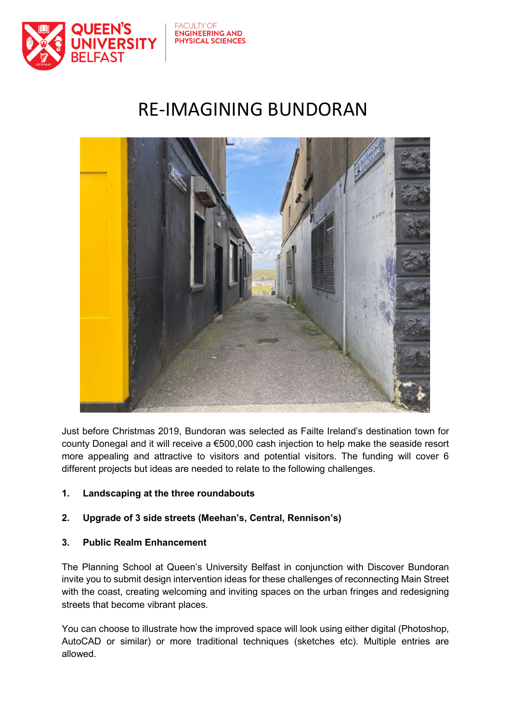

### **FACLILTY OF ENGINEERING AND PHYSICAL SCIENCES**

# RE-IMAGINING BUNDORAN



Just before Christmas 2019, Bundoran was selected as Failte Ireland's destination town for county Donegal and it will receive a €500,000 cash injection to help make the seaside resort more appealing and attractive to visitors and potential visitors. The funding will cover 6 different projects but ideas are needed to relate to the following challenges.

## **1. Landscaping at the three roundabouts**

## **2. Upgrade of 3 side streets (Meehan's, Central, Rennison's)**

## **3. Public Realm Enhancement**

The Planning School at Queen's University Belfast in conjunction with Discover Bundoran invite you to submit design intervention ideas for these challenges of reconnecting Main Street with the coast, creating welcoming and inviting spaces on the urban fringes and redesigning streets that become vibrant places.

You can choose to illustrate how the improved space will look using either digital (Photoshop, AutoCAD or similar) or more traditional techniques (sketches etc). Multiple entries are allowed.